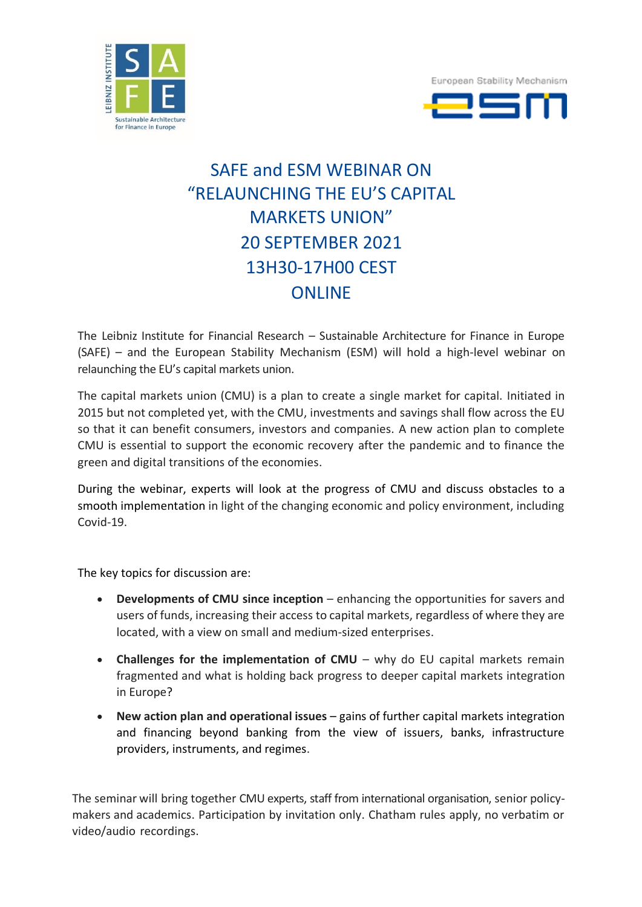



## SAFE and ESM WEBINAR ON "RELAUNCHING THE EU'S CAPITAL MARKETS UNION" 20 SEPTEMBER 2021 13H30-17H00 CEST ONLINE

The Leibniz Institute for Financial Research – Sustainable Architecture for Finance in Europe (SAFE) – and the European Stability Mechanism (ESM) will hold a high-level webinar on relaunching the EU's capital markets union.

The capital markets union (CMU) is a plan to create a single market for capital. Initiated in 2015 but not completed yet, with the CMU, investments and savings shall flow across the EU so that it can benefit consumers, investors and companies. A new action plan to complete CMU is essential to support the economic recovery after the pandemic and to finance the green and digital transitions of the economies.

During the webinar, experts will look at the progress of CMU and discuss obstacles to a smooth implementation in light of the changing economic and policy environment, including Covid-19.

The key topics for discussion are:

- **Developments of CMU since inception** enhancing the opportunities for savers and users of funds, increasing their access to capital markets, regardless of where they are located, with a view on small and medium-sized enterprises.
- **Challenges for the implementation of CMU** why do EU capital markets remain fragmented and what is holding back progress to deeper capital markets integration in Europe?
- **New action plan and operational issues** gains of further capital markets integration and financing beyond banking from the view of issuers, banks, infrastructure providers, instruments, and regimes.

The seminar will bring together CMU experts, staff from international organisation, senior policymakers and academics. Participation by invitation only. Chatham rules apply, no verbatim or video/audio recordings.